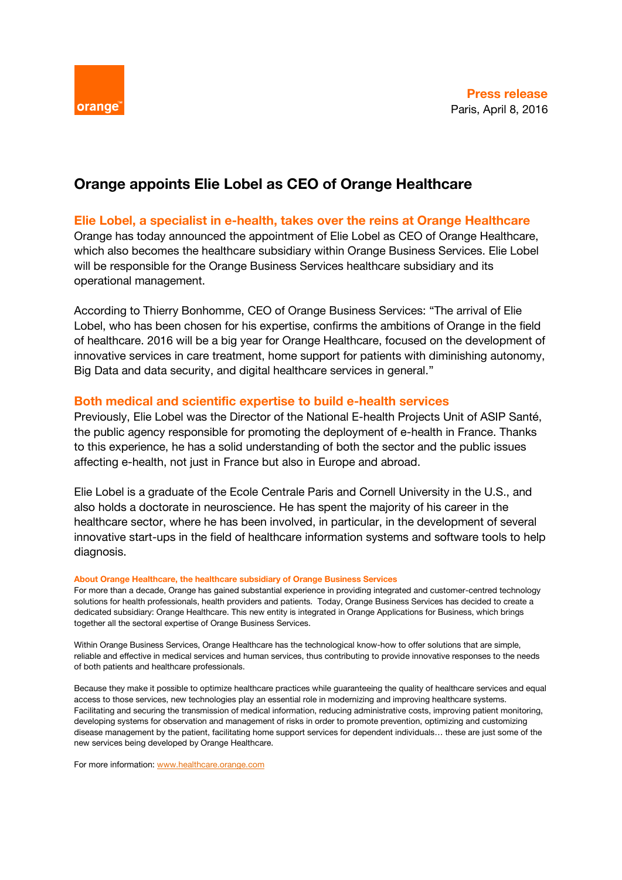

# **Orange appoints Elie Lobel as CEO of Orange Healthcare**

## **Elie Lobel, a specialist in e-health, takes over the reins at Orange Healthcare**

Orange has today announced the appointment of Elie Lobel as CEO of Orange Healthcare, which also becomes the healthcare subsidiary within Orange Business Services. Elie Lobel will be responsible for the Orange Business Services healthcare subsidiary and its operational management.

According to Thierry Bonhomme, CEO of Orange Business Services: "The arrival of Elie Lobel, who has been chosen for his expertise, confirms the ambitions of Orange in the field of healthcare. 2016 will be a big year for Orange Healthcare, focused on the development of innovative services in care treatment, home support for patients with diminishing autonomy, Big Data and data security, and digital healthcare services in general."

## **Both medical and scientific expertise to build e-health services**

Previously, Elie Lobel was the Director of the National E-health Projects Unit of ASIP Santé, the public agency responsible for promoting the deployment of e-health in France. Thanks to this experience, he has a solid understanding of both the sector and the public issues affecting e-health, not just in France but also in Europe and abroad.

Elie Lobel is a graduate of the Ecole Centrale Paris and Cornell University in the U.S., and also holds a doctorate in neuroscience. He has spent the majority of his career in the healthcare sector, where he has been involved, in particular, in the development of several innovative start-ups in the field of healthcare information systems and software tools to help diagnosis.

### **About Orange Healthcare, the healthcare subsidiary of Orange Business Services**

For more than a decade, Orange has gained substantial experience in providing integrated and customer-centred technology solutions for health professionals, health providers and patients. Today, Orange Business Services has decided to create a dedicated subsidiary: Orange Healthcare. This new entity is integrated in Orange Applications for Business, which brings together all the sectoral expertise of Orange Business Services.

Within Orange Business Services, Orange Healthcare has the technological know-how to offer solutions that are simple, reliable and effective in medical services and human services, thus contributing to provide innovative responses to the needs of both patients and healthcare professionals.

Because they make it possible to optimize healthcare practices while guaranteeing the quality of healthcare services and equal access to those services, new technologies play an essential role in modernizing and improving healthcare systems. Facilitating and securing the transmission of medical information, reducing administrative costs, improving patient monitoring, developing systems for observation and management of risks in order to promote prevention, optimizing and customizing disease management by the patient, facilitating home support services for dependent individuals… these are just some of the new services being developed by Orange Healthcare.

For more information: [www.healthcare.orange.com](http://www.healthcare.orange.com/)